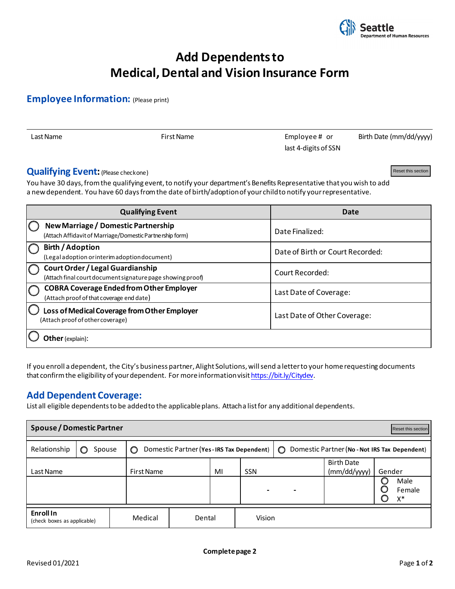

Reset this section

# **Add Dependents to Medical, Dental and Vision Insurance Form**

## **Employee Information:** (Please print)

Last Name The Contract Contract Contract Contract Contract Contract Contract Contract Contract Contract Contract Contract Contract Contract Contract Contract Contract Contract Contract Contract Contract Contract Contract C last 4-digits of SSN Birth Date (mm/dd/yyyy)

#### **Qualifying Event: (Please checkone)**

| <b>Qualitying Event:</b> (Please checkone)                                                                                                                                                                                                                                                                                                                                               | Reset this section               |
|------------------------------------------------------------------------------------------------------------------------------------------------------------------------------------------------------------------------------------------------------------------------------------------------------------------------------------------------------------------------------------------|----------------------------------|
| You have 30 days, from the qualifying event, to notify your department's Benefits Representative that you wish to add<br>a new dependent. You have 60 days from the date of birth/adoption of your child to notify your representative.                                                                                                                                                  |                                  |
|                                                                                                                                                                                                                                                                                                                                                                                          |                                  |
| <b>Qualifying Event</b>                                                                                                                                                                                                                                                                                                                                                                  | <b>Date</b>                      |
| <b>New Marriage / Domestic Partnership</b><br>(Attach Affidavit of Marriage/Domestic Partnership form)                                                                                                                                                                                                                                                                                   | Date Finalized:                  |
| <b>Birth / Adoption</b><br>(Legal adoption or interim adoption document)                                                                                                                                                                                                                                                                                                                 | Date of Birth or Court Recorded: |
| <b>Court Order / Legal Guardianship</b><br>(Attach final court document signature page showing proof)                                                                                                                                                                                                                                                                                    | Court Recorded:                  |
| <b>COBRA Coverage Ended from Other Employer</b><br>(Attach proof of that coverage end date)                                                                                                                                                                                                                                                                                              | Last Date of Coverage:           |
| Loss of Medical Coverage from Other Employer<br>(Attach proof of other coverage)                                                                                                                                                                                                                                                                                                         | Last Date of Other Coverage:     |
| Other (explain):                                                                                                                                                                                                                                                                                                                                                                         |                                  |
| If you enroll a dependent, the City's business partner, Alight Solutions, will send a letter to your home requesting documents<br>that confirm the eligibility of your dependent. For more information visit https://bit.ly/Citydev.<br><b>Add Dependent Coverage:</b><br>List all eligible dependents to be added to the applicable plans. Attach a list for any additional dependents. |                                  |
| Spouse / Domestic Partner                                                                                                                                                                                                                                                                                                                                                                | Reset this section               |

## **Add Dependent Coverage:**

| <b>Spouse / Domestic Partner</b><br>Reset this section |             |                   |                                          |    |        |                                                 |                                   |        |              |  |
|--------------------------------------------------------|-------------|-------------------|------------------------------------------|----|--------|-------------------------------------------------|-----------------------------------|--------|--------------|--|
| Relationship                                           | Spouse<br>O | O                 | Domestic Partner (Yes-IRS Tax Dependent) |    |        | ◯ Domestic Partner (No - Not IRS Tax Dependent) |                                   |        |              |  |
| Last Name                                              |             | <b>First Name</b> |                                          | MI | SSN    |                                                 | <b>Birth Date</b><br>(mm/dd/yyyy) | Gender | Male         |  |
|                                                        |             |                   |                                          |    |        |                                                 |                                   | O      | Female<br>X* |  |
| <b>Enroll In</b><br>(check boxes as applicable)        |             | Medical           | Dental                                   |    | Vision |                                                 |                                   |        |              |  |